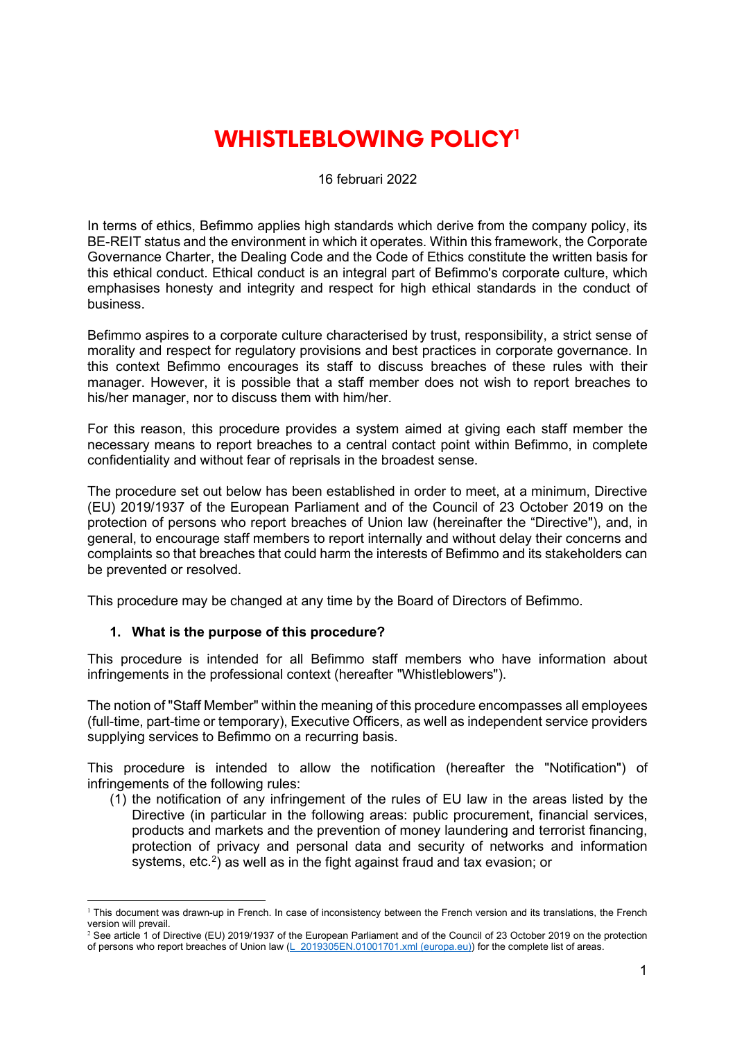# **WHISTLEBLOWING POLICY[1](#page-0-0)**

16 februari 2022

In terms of ethics, Befimmo applies high standards which derive from the company policy, its BE-REIT status and the environment in which it operates. Within this framework, the Corporate Governance Charter, the Dealing Code and the Code of Ethics constitute the written basis for this ethical conduct. Ethical conduct is an integral part of Befimmo's corporate culture, which emphasises honesty and integrity and respect for high ethical standards in the conduct of business.

Befimmo aspires to a corporate culture characterised by trust, responsibility, a strict sense of morality and respect for regulatory provisions and best practices in corporate governance. In this context Befimmo encourages its staff to discuss breaches of these rules with their manager. However, it is possible that a staff member does not wish to report breaches to his/her manager, nor to discuss them with him/her.

For this reason, this procedure provides a system aimed at giving each staff member the necessary means to report breaches to a central contact point within Befimmo, in complete confidentiality and without fear of reprisals in the broadest sense.

The procedure set out below has been established in order to meet, at a minimum, Directive (EU) 2019/1937 of the European Parliament and of the Council of 23 October 2019 on the protection of persons who report breaches of Union law (hereinafter the "Directive"), and, in general, to encourage staff members to report internally and without delay their concerns and complaints so that breaches that could harm the interests of Befimmo and its stakeholders can be prevented or resolved.

This procedure may be changed at any time by the Board of Directors of Befimmo.

# **1. What is the purpose of this procedure?**

This procedure is intended for all Befimmo staff members who have information about infringements in the professional context (hereafter "Whistleblowers").

The notion of "Staff Member" within the meaning of this procedure encompasses all employees (full-time, part-time or temporary), Executive Officers, as well as independent service providers supplying services to Befimmo on a recurring basis.

This procedure is intended to allow the notification (hereafter the "Notification") of infringements of the following rules:

(1) the notification of any infringement of the rules of EU law in the areas listed by the Directive (in particular in the following areas: public procurement, financial services, products and markets and the prevention of money laundering and terrorist financing, protection of privacy and personal data and security of networks and information systems, etc.<sup>2</sup>) as well as in the fight against fraud and tax evasion; or

<span id="page-0-0"></span><sup>&</sup>lt;sup>1</sup> This document was drawn-up in French. In case of inconsistency between the French version and its translations, the French version will prevail.

<span id="page-0-1"></span><sup>&</sup>lt;sup>2</sup> See article 1 of Directive (EU) 2019/1937 of the European Parliament and of the Council of 23 October 2019 on the protection of persons who report breaches of Union law [\(L\\_2019305EN.01001701.xml \(europa.eu\)\)](https://eur-lex.europa.eu/legal-content/EN/TXT/HTML/?uri=CELEX:32019L1937&from=FR) for the complete list of areas.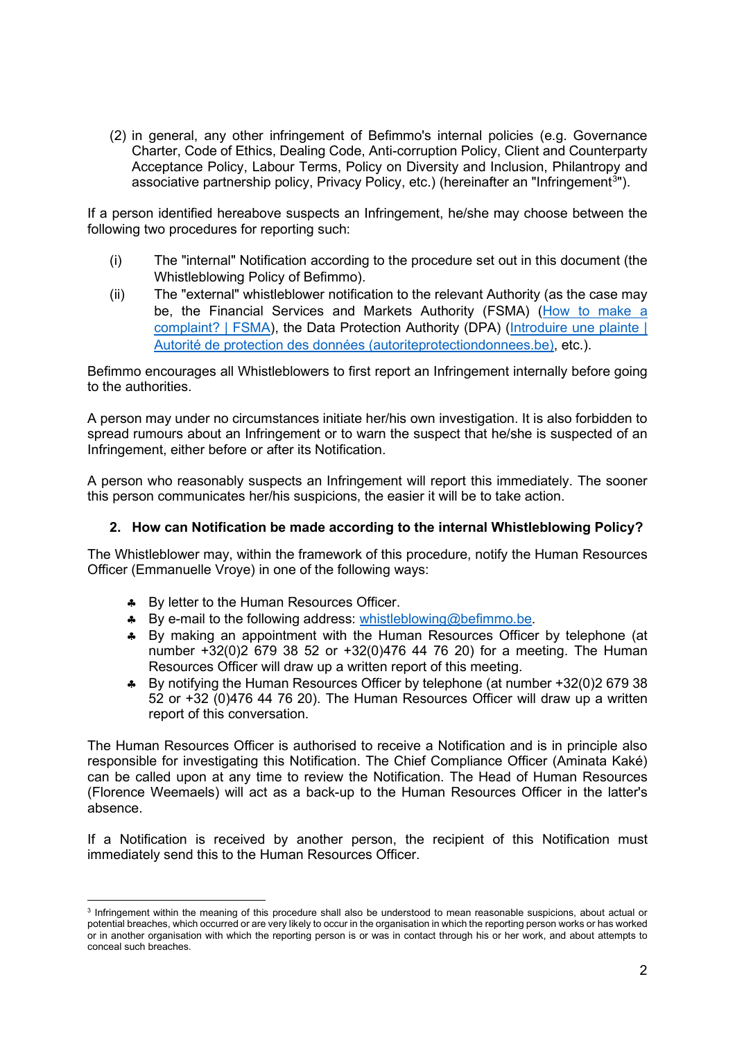(2) in general, any other infringement of Befimmo's internal policies (e.g. Governance Charter, Code of Ethics, Dealing Code, Anti-corruption Policy, Client and Counterparty Acceptance Policy, Labour Terms, Policy on Diversity and Inclusion, Philantropy and associative partnership policy, Privacy Policy, etc.) (hereinafter an "Infringement<sup>[3](#page-1-0)</sup>").

If a person identified hereabove suspects an Infringement, he/she may choose between the following two procedures for reporting such:

- (i) The "internal" Notification according to the procedure set out in this document (the Whistleblowing Policy of Befimmo).
- (ii) The "external" whistleblower notification to the relevant Authority (as the case may be, the Financial Services and Markets Authority (FSMA) [\(How to make a](https://www.fsma.be/en/how-make-complaint)  [complaint? | FSMA\)](https://www.fsma.be/en/how-make-complaint), the Data Protection Authority (DPA) [\(Introduire une plainte |](https://www.autoriteprotectiondonnees.be/citoyen/agir/introduire-une-plainte)  [Autorité de protection des données \(autoriteprotectiondonnees.be\),](https://www.autoriteprotectiondonnees.be/citoyen/agir/introduire-une-plainte) etc.).

Befimmo encourages all Whistleblowers to first report an Infringement internally before going to the authorities.

A person may under no circumstances initiate her/his own investigation. It is also forbidden to spread rumours about an Infringement or to warn the suspect that he/she is suspected of an Infringement, either before or after its Notification.

A person who reasonably suspects an Infringement will report this immediately. The sooner this person communicates her/his suspicions, the easier it will be to take action.

# **2. How can Notification be made according to the internal Whistleblowing Policy?**

The Whistleblower may, within the framework of this procedure, notify the Human Resources Officer (Emmanuelle Vroye) in one of the following ways:

- ♣ By letter to the Human Resources Officer.
- ♣ By e-mail to the following address: [whistleblowing@befimmo.be.](mailto:whistleblowing@befimmo.be)
- ♣ By making an appointment with the Human Resources Officer by telephone (at number +32(0)2 679 38 52 or +32(0)476 44 76 20) for a meeting. The Human Resources Officer will draw up a written report of this meeting.
- ♣ By notifying the Human Resources Officer by telephone (at number +32(0)2 679 38 52 or +32 (0)476 44 76 20). The Human Resources Officer will draw up a written report of this conversation.

The Human Resources Officer is authorised to receive a Notification and is in principle also responsible for investigating this Notification. The Chief Compliance Officer (Aminata Kaké) can be called upon at any time to review the Notification. The Head of Human Resources (Florence Weemaels) will act as a back-up to the Human Resources Officer in the latter's absence.

If a Notification is received by another person, the recipient of this Notification must immediately send this to the Human Resources Officer.

<span id="page-1-0"></span><sup>3</sup> Infringement within the meaning of this procedure shall also be understood to mean reasonable suspicions, about actual or potential breaches, which occurred or are very likely to occur in the organisation in which the reporting person works or has worked or in another organisation with which the reporting person is or was in contact through his or her work, and about attempts to conceal such breaches.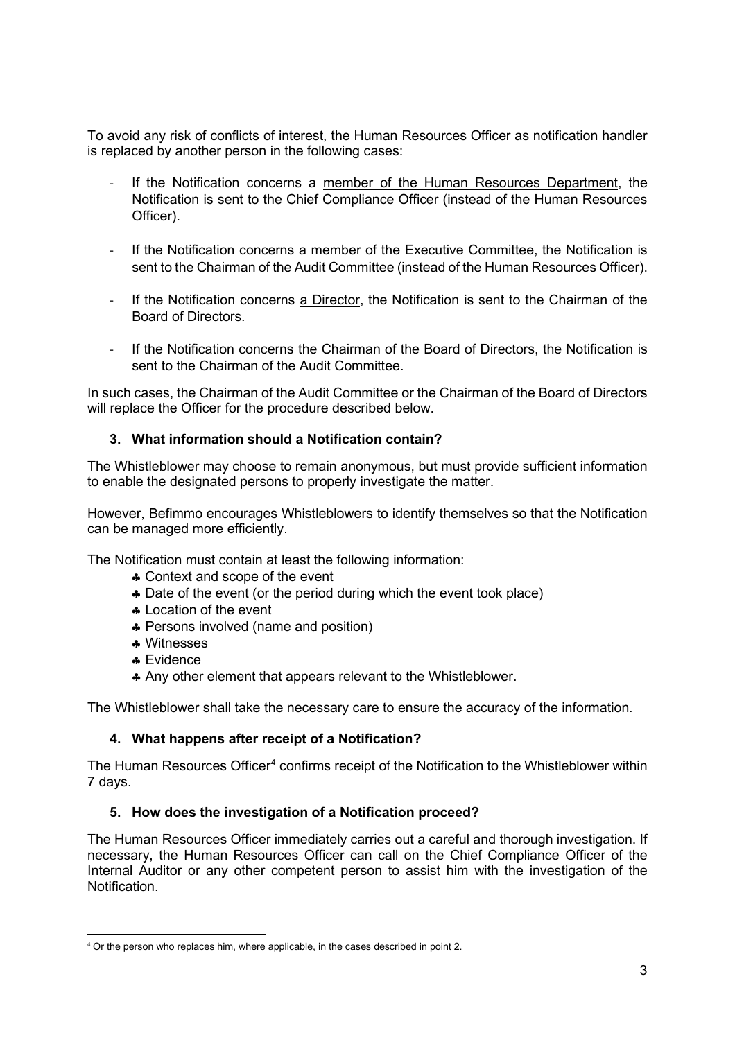To avoid any risk of conflicts of interest, the Human Resources Officer as notification handler is replaced by another person in the following cases:

- If the Notification concerns a member of the Human Resources Department, the Notification is sent to the Chief Compliance Officer (instead of the Human Resources Officer).
- If the Notification concerns a member of the Executive Committee, the Notification is sent to the Chairman of the Audit Committee (instead of the Human Resources Officer).
- If the Notification concerns a Director, the Notification is sent to the Chairman of the Board of Directors.
- If the Notification concerns the Chairman of the Board of Directors, the Notification is sent to the Chairman of the Audit Committee.

In such cases, the Chairman of the Audit Committee or the Chairman of the Board of Directors will replace the Officer for the procedure described below.

# **3. What information should a Notification contain?**

The Whistleblower may choose to remain anonymous, but must provide sufficient information to enable the designated persons to properly investigate the matter.

However, Befimmo encourages Whistleblowers to identify themselves so that the Notification can be managed more efficiently.

The Notification must contain at least the following information:

- ♣ Context and scope of the event
- ♣ Date of the event (or the period during which the event took place)
- ♣ Location of the event
- ♣ Persons involved (name and position)
- ♣ Witnesses
- ♣ Evidence
- ♣ Any other element that appears relevant to the Whistleblower.

The Whistleblower shall take the necessary care to ensure the accuracy of the information.

# **4. What happens after receipt of a Notification?**

The Human Resources Officer<sup>4</sup> confirms receipt of the Notification to the Whistleblower within 7 days.

# **5. How does the investigation of a Notification proceed?**

The Human Resources Officer immediately carries out a careful and thorough investigation. If necessary, the Human Resources Officer can call on the Chief Compliance Officer of the Internal Auditor or any other competent person to assist him with the investigation of the Notification.

<span id="page-2-0"></span><sup>&</sup>lt;sup>4</sup> Or the person who replaces him, where applicable, in the cases described in point 2.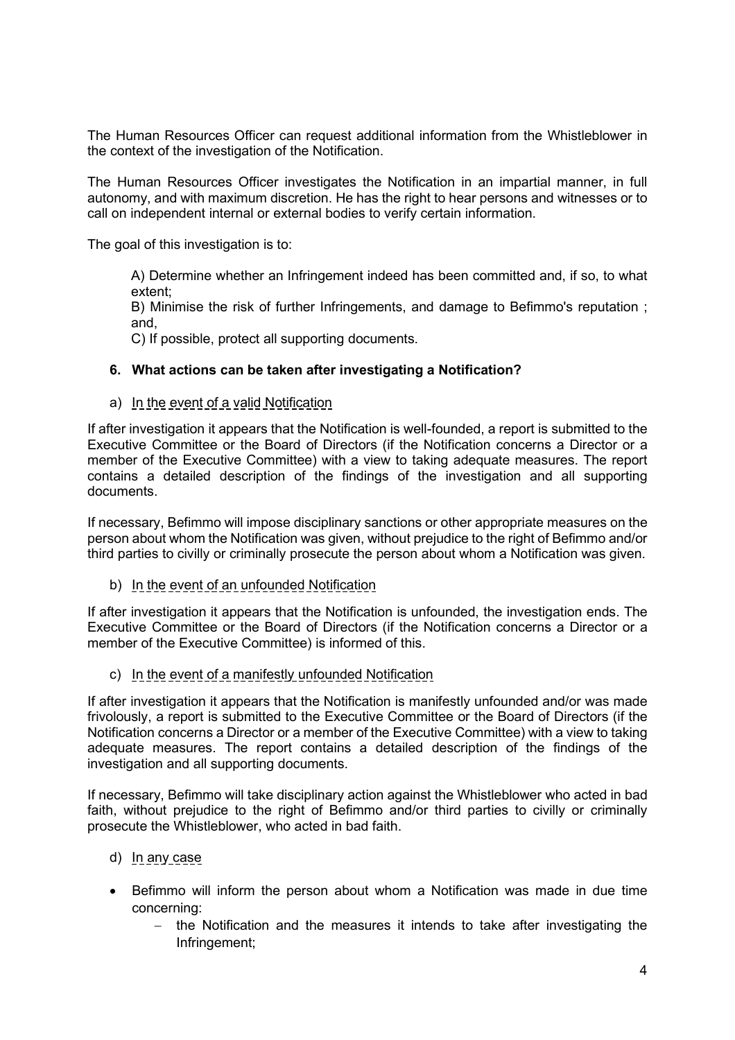The Human Resources Officer can request additional information from the Whistleblower in the context of the investigation of the Notification.

The Human Resources Officer investigates the Notification in an impartial manner, in full autonomy, and with maximum discretion. He has the right to hear persons and witnesses or to call on independent internal or external bodies to verify certain information.

The goal of this investigation is to:

A) Determine whether an Infringement indeed has been committed and, if so, to what extent;

B) Minimise the risk of further Infringements, and damage to Befimmo's reputation ; and,

C) If possible, protect all supporting documents.

#### **6. What actions can be taken after investigating a Notification?**

#### a) In the event of a valid Notification

If after investigation it appears that the Notification is well-founded, a report is submitted to the Executive Committee or the Board of Directors (if the Notification concerns a Director or a member of the Executive Committee) with a view to taking adequate measures. The report contains a detailed description of the findings of the investigation and all supporting documents.

If necessary, Befimmo will impose disciplinary sanctions or other appropriate measures on the person about whom the Notification was given, without prejudice to the right of Befimmo and/or third parties to civilly or criminally prosecute the person about whom a Notification was given.

b) In the event of an unfounded Notification

If after investigation it appears that the Notification is unfounded, the investigation ends. The Executive Committee or the Board of Directors (if the Notification concerns a Director or a member of the Executive Committee) is informed of this.

c) In the event of a manifestly unfounded Notification

If after investigation it appears that the Notification is manifestly unfounded and/or was made frivolously, a report is submitted to the Executive Committee or the Board of Directors (if the Notification concerns a Director or a member of the Executive Committee) with a view to taking adequate measures. The report contains a detailed description of the findings of the investigation and all supporting documents.

If necessary, Befimmo will take disciplinary action against the Whistleblower who acted in bad faith, without prejudice to the right of Befimmo and/or third parties to civilly or criminally prosecute the Whistleblower, who acted in bad faith.

# d) In any case

- Befimmo will inform the person about whom a Notification was made in due time concerning:
	- − the Notification and the measures it intends to take after investigating the Infringement;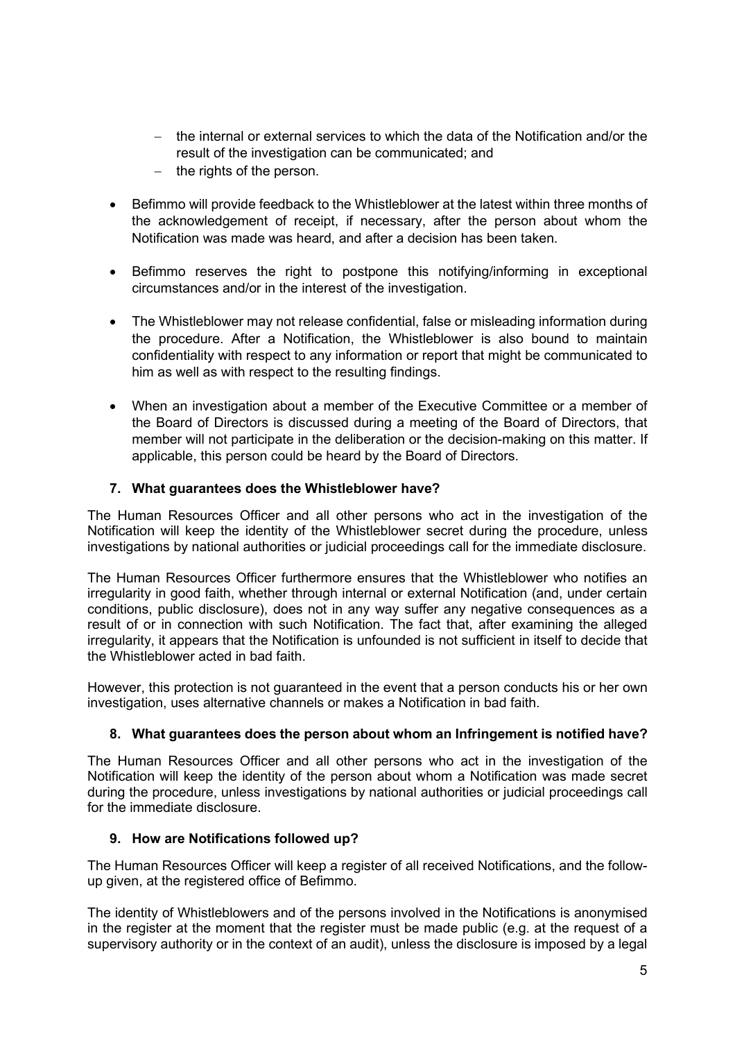- − the internal or external services to which the data of the Notification and/or the result of the investigation can be communicated; and
- − the rights of the person.
- Befimmo will provide feedback to the Whistleblower at the latest within three months of the acknowledgement of receipt, if necessary, after the person about whom the Notification was made was heard, and after a decision has been taken.
- Befimmo reserves the right to postpone this notifying/informing in exceptional circumstances and/or in the interest of the investigation.
- The Whistleblower may not release confidential, false or misleading information during the procedure. After a Notification, the Whistleblower is also bound to maintain confidentiality with respect to any information or report that might be communicated to him as well as with respect to the resulting findings.
- When an investigation about a member of the Executive Committee or a member of the Board of Directors is discussed during a meeting of the Board of Directors, that member will not participate in the deliberation or the decision-making on this matter. If applicable, this person could be heard by the Board of Directors.

# **7. What guarantees does the Whistleblower have?**

The Human Resources Officer and all other persons who act in the investigation of the Notification will keep the identity of the Whistleblower secret during the procedure, unless investigations by national authorities or judicial proceedings call for the immediate disclosure.

The Human Resources Officer furthermore ensures that the Whistleblower who notifies an irregularity in good faith, whether through internal or external Notification (and, under certain conditions, public disclosure), does not in any way suffer any negative consequences as a result of or in connection with such Notification. The fact that, after examining the alleged irregularity, it appears that the Notification is unfounded is not sufficient in itself to decide that the Whistleblower acted in bad faith.

However, this protection is not guaranteed in the event that a person conducts his or her own investigation, uses alternative channels or makes a Notification in bad faith.

# **8. What guarantees does the person about whom an Infringement is notified have?**

The Human Resources Officer and all other persons who act in the investigation of the Notification will keep the identity of the person about whom a Notification was made secret during the procedure, unless investigations by national authorities or judicial proceedings call for the immediate disclosure.

# **9. How are Notifications followed up?**

The Human Resources Officer will keep a register of all received Notifications, and the followup given, at the registered office of Befimmo.

The identity of Whistleblowers and of the persons involved in the Notifications is anonymised in the register at the moment that the register must be made public (e.g. at the request of a supervisory authority or in the context of an audit), unless the disclosure is imposed by a legal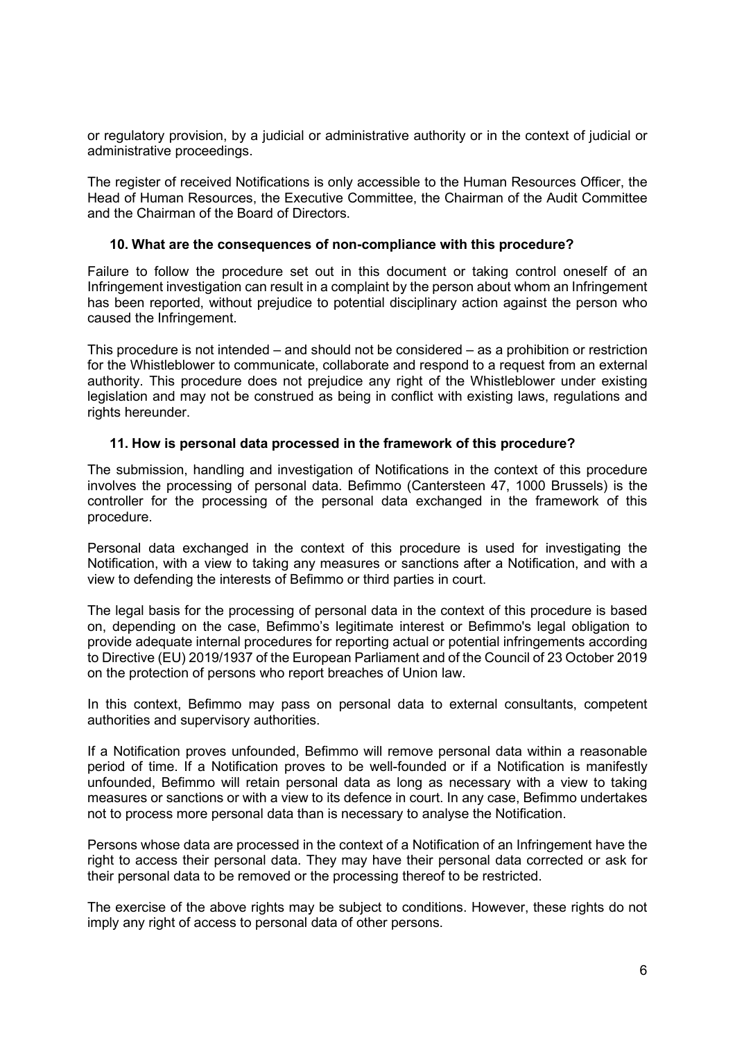or regulatory provision, by a judicial or administrative authority or in the context of judicial or administrative proceedings.

The register of received Notifications is only accessible to the Human Resources Officer, the Head of Human Resources, the Executive Committee, the Chairman of the Audit Committee and the Chairman of the Board of Directors.

#### **10. What are the consequences of non-compliance with this procedure?**

Failure to follow the procedure set out in this document or taking control oneself of an Infringement investigation can result in a complaint by the person about whom an Infringement has been reported, without prejudice to potential disciplinary action against the person who caused the Infringement.

This procedure is not intended – and should not be considered – as a prohibition or restriction for the Whistleblower to communicate, collaborate and respond to a request from an external authority. This procedure does not prejudice any right of the Whistleblower under existing legislation and may not be construed as being in conflict with existing laws, regulations and rights hereunder.

#### **11. How is personal data processed in the framework of this procedure?**

The submission, handling and investigation of Notifications in the context of this procedure involves the processing of personal data. Befimmo (Cantersteen 47, 1000 Brussels) is the controller for the processing of the personal data exchanged in the framework of this procedure.

Personal data exchanged in the context of this procedure is used for investigating the Notification, with a view to taking any measures or sanctions after a Notification, and with a view to defending the interests of Befimmo or third parties in court.

The legal basis for the processing of personal data in the context of this procedure is based on, depending on the case, Befimmo's legitimate interest or Befimmo's legal obligation to provide adequate internal procedures for reporting actual or potential infringements according to Directive (EU) 2019/1937 of the European Parliament and of the Council of 23 October 2019 on the protection of persons who report breaches of Union law.

In this context, Befimmo may pass on personal data to external consultants, competent authorities and supervisory authorities.

If a Notification proves unfounded, Befimmo will remove personal data within a reasonable period of time. If a Notification proves to be well-founded or if a Notification is manifestly unfounded, Befimmo will retain personal data as long as necessary with a view to taking measures or sanctions or with a view to its defence in court. In any case, Befimmo undertakes not to process more personal data than is necessary to analyse the Notification.

Persons whose data are processed in the context of a Notification of an Infringement have the right to access their personal data. They may have their personal data corrected or ask for their personal data to be removed or the processing thereof to be restricted.

The exercise of the above rights may be subject to conditions. However, these rights do not imply any right of access to personal data of other persons.